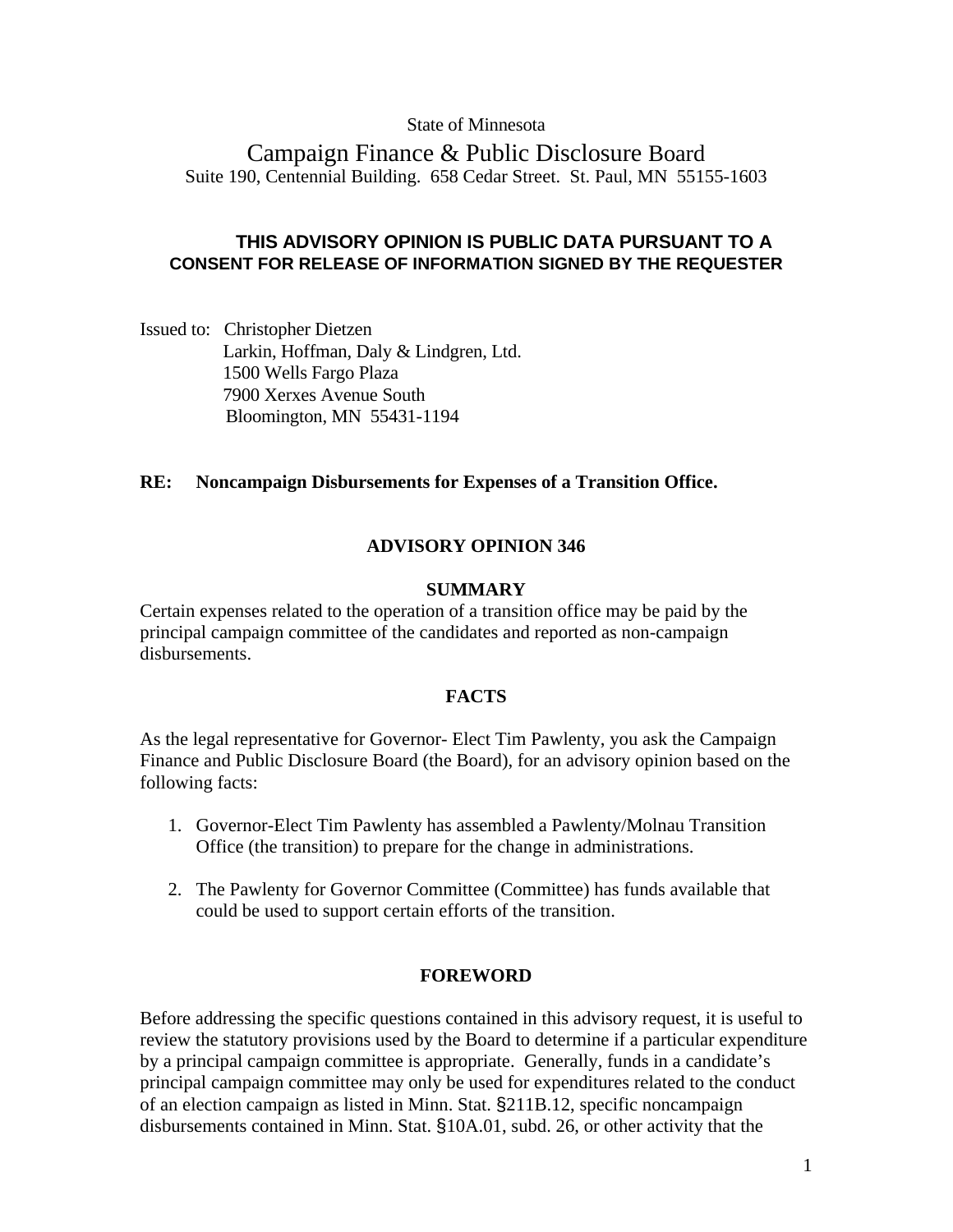## State of Minnesota

Campaign Finance & Public Disclosure Board Suite 190, Centennial Building. 658 Cedar Street. St. Paul, MN 55155-1603

# **THIS ADVISORY OPINION IS PUBLIC DATA PURSUANT TO A CONSENT FOR RELEASE OF INFORMATION SIGNED BY THE REQUESTER**

Issued to: Christopher Dietzen Larkin, Hoffman, Daly & Lindgren, Ltd. 1500 Wells Fargo Plaza 7900 Xerxes Avenue South Bloomington, MN 55431-1194

## **RE: Noncampaign Disbursements for Expenses of a Transition Office.**

## **ADVISORY OPINION 346**

### **SUMMARY**

Certain expenses related to the operation of a transition office may be paid by the principal campaign committee of the candidates and reported as non-campaign disbursements.

## **FACTS**

As the legal representative for Governor- Elect Tim Pawlenty, you ask the Campaign Finance and Public Disclosure Board (the Board), for an advisory opinion based on the following facts:

- 1. Governor-Elect Tim Pawlenty has assembled a Pawlenty/Molnau Transition Office (the transition) to prepare for the change in administrations.
- 2. The Pawlenty for Governor Committee (Committee) has funds available that could be used to support certain efforts of the transition.

## **FOREWORD**

Before addressing the specific questions contained in this advisory request, it is useful to review the statutory provisions used by the Board to determine if a particular expenditure by a principal campaign committee is appropriate. Generally, funds in a candidate's principal campaign committee may only be used for expenditures related to the conduct of an election campaign as listed in Minn. Stat. §211B.12, specific noncampaign disbursements contained in Minn. Stat. §10A.01, subd. 26, or other activity that the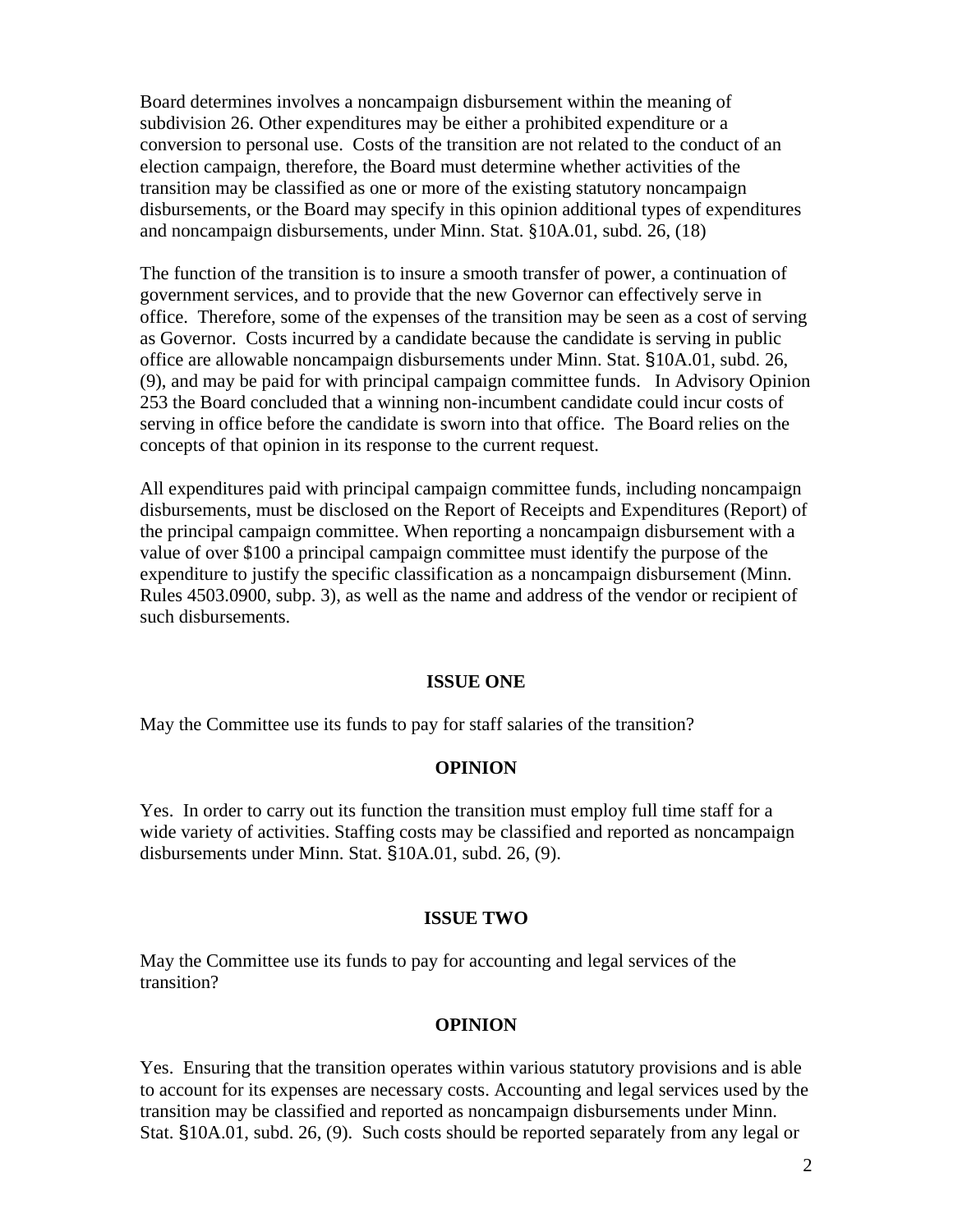Board determines involves a noncampaign disbursement within the meaning of subdivision 26. Other expenditures may be either a prohibited expenditure or a conversion to personal use. Costs of the transition are not related to the conduct of an election campaign, therefore, the Board must determine whether activities of the transition may be classified as one or more of the existing statutory noncampaign disbursements, or the Board may specify in this opinion additional types of expenditures and noncampaign disbursements, under Minn. Stat. §10A.01, subd. 26, (18)

The function of the transition is to insure a smooth transfer of power, a continuation of government services, and to provide that the new Governor can effectively serve in office. Therefore, some of the expenses of the transition may be seen as a cost of serving as Governor. Costs incurred by a candidate because the candidate is serving in public office are allowable noncampaign disbursements under Minn. Stat. §10A.01, subd. 26, (9), and may be paid for with principal campaign committee funds. In Advisory Opinion 253 the Board concluded that a winning non-incumbent candidate could incur costs of serving in office before the candidate is sworn into that office. The Board relies on the concepts of that opinion in its response to the current request.

All expenditures paid with principal campaign committee funds, including noncampaign disbursements, must be disclosed on the Report of Receipts and Expenditures (Report) of the principal campaign committee. When reporting a noncampaign disbursement with a value of over \$100 a principal campaign committee must identify the purpose of the expenditure to justify the specific classification as a noncampaign disbursement (Minn. Rules 4503.0900, subp. 3), as well as the name and address of the vendor or recipient of such disbursements.

#### **ISSUE ONE**

May the Committee use its funds to pay for staff salaries of the transition?

## **OPINION**

Yes. In order to carry out its function the transition must employ full time staff for a wide variety of activities. Staffing costs may be classified and reported as noncampaign disbursements under Minn. Stat. §10A.01, subd. 26, (9).

## **ISSUE TWO**

May the Committee use its funds to pay for accounting and legal services of the transition?

#### **OPINION**

Yes. Ensuring that the transition operates within various statutory provisions and is able to account for its expenses are necessary costs. Accounting and legal services used by the transition may be classified and reported as noncampaign disbursements under Minn. Stat. §10A.01, subd. 26, (9). Such costs should be reported separately from any legal or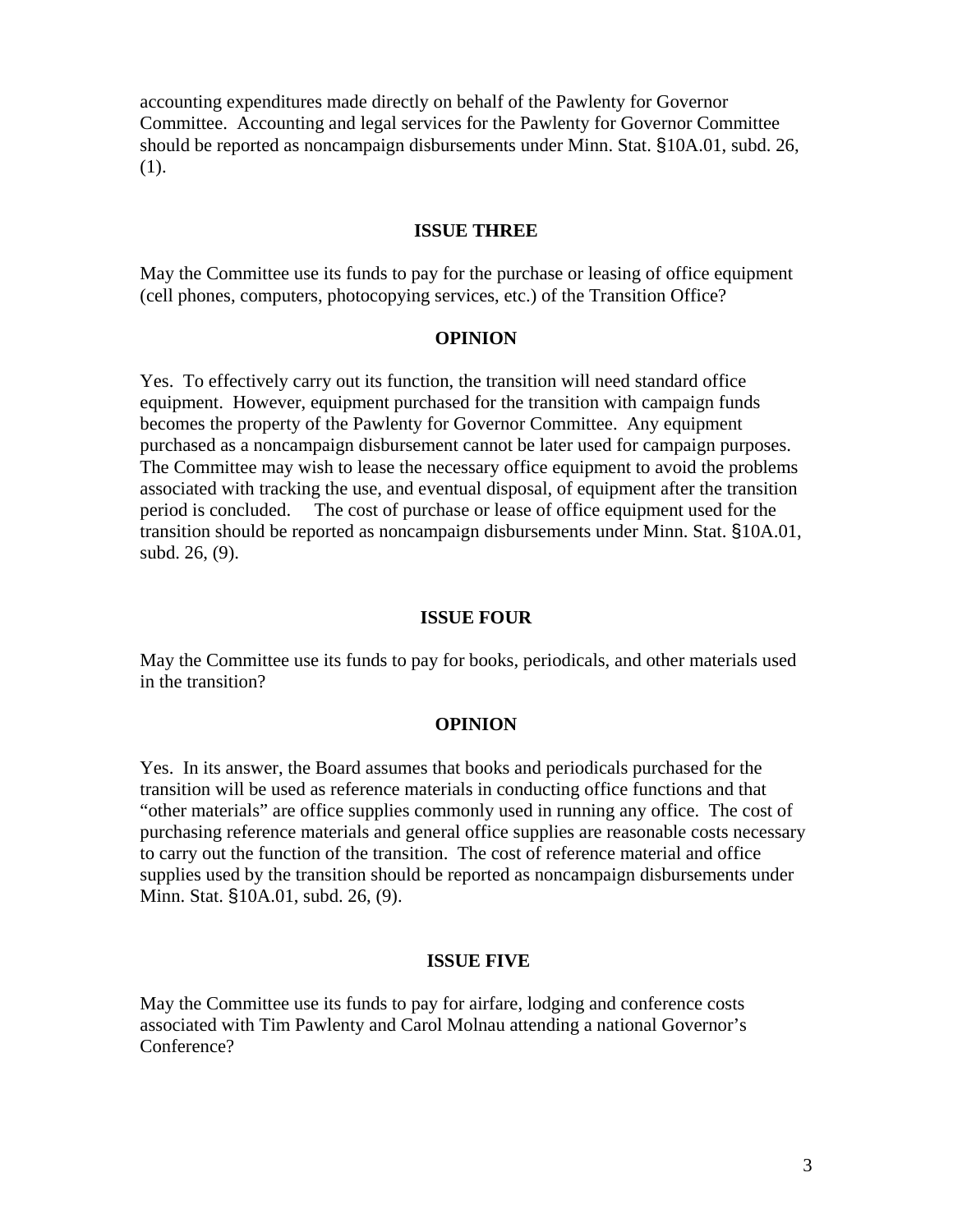accounting expenditures made directly on behalf of the Pawlenty for Governor Committee. Accounting and legal services for the Pawlenty for Governor Committee should be reported as noncampaign disbursements under Minn. Stat. §10A.01, subd. 26, (1).

## **ISSUE THREE**

May the Committee use its funds to pay for the purchase or leasing of office equipment (cell phones, computers, photocopying services, etc.) of the Transition Office?

### **OPINION**

Yes. To effectively carry out its function, the transition will need standard office equipment. However, equipment purchased for the transition with campaign funds becomes the property of the Pawlenty for Governor Committee. Any equipment purchased as a noncampaign disbursement cannot be later used for campaign purposes. The Committee may wish to lease the necessary office equipment to avoid the problems associated with tracking the use, and eventual disposal, of equipment after the transition period is concluded. The cost of purchase or lease of office equipment used for the transition should be reported as noncampaign disbursements under Minn. Stat. §10A.01, subd. 26, (9).

### **ISSUE FOUR**

May the Committee use its funds to pay for books, periodicals, and other materials used in the transition?

#### **OPINION**

Yes. In its answer, the Board assumes that books and periodicals purchased for the transition will be used as reference materials in conducting office functions and that "other materials" are office supplies commonly used in running any office. The cost of purchasing reference materials and general office supplies are reasonable costs necessary to carry out the function of the transition. The cost of reference material and office supplies used by the transition should be reported as noncampaign disbursements under Minn. Stat. §10A.01, subd. 26, (9).

### **ISSUE FIVE**

May the Committee use its funds to pay for airfare, lodging and conference costs associated with Tim Pawlenty and Carol Molnau attending a national Governor's Conference?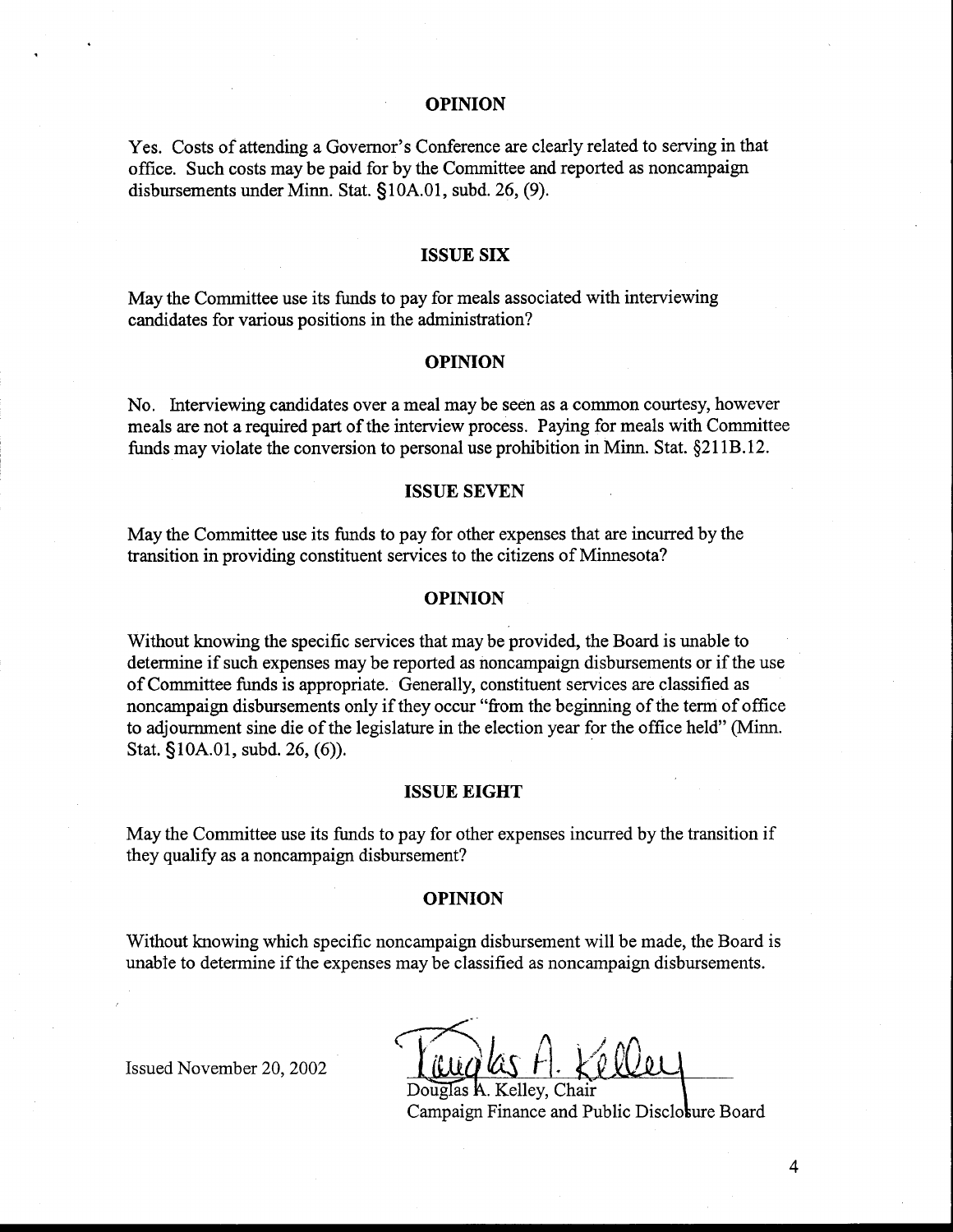### **OPINION**

Yes. Costs of attending a Governor's Conference are clearly related to serving in that office. Such costs may be paid for by the Committee and reported as noncampaign disbursements under Minn. Stat. §1 OA.O1, subd. 26, (9).

#### **ISSUE SIX**

May the Committee use its funds to pay for meals associated with interviewing candidates for various positions in the administration?

#### **OPINION**

No. Interviewing candidates over a meal may be seen as a common courtesy, however meals are not a required part of the interview process. Paying for meals with Committee funds may violate the conversion to personal use prohibition in Minn. Stat. \$21 1B. 12.

#### **ISSUE SEVEN**

May the Committee use its funds to pay for other expenses that are incurred by the transition in providing constituent services to the citizens of Minnesota?

#### **OPINION**

Without knowing the specific services that may be provided, the Board is unable to determine if such expenses may be reported as noncampaign disbursements or if the use of Committee funds is appropriate. Generally, constituent services are classified as noncampaign disbursements only if they occur "fiom the beginning of the term of office to adjournment sine die of the legislature in the election year for the office held" (Minn. Stat. §lOA.Ol, subd. 26, (6)).

### **ISSUE EIGHT**

May the Committee use its funds to pay for other expenses incurred by the transition if they qualify as a noncampaign disbursement?

#### **OPINION**

Without knowing which specific noncampaign disbursement will be made, the Board is unable to determine if the expenses may be classified as noncampaign disbursements.

Issued November 20,2002

A. Kellev. Chair Campaign Finance and Public Discloture Board

 $\overline{4}$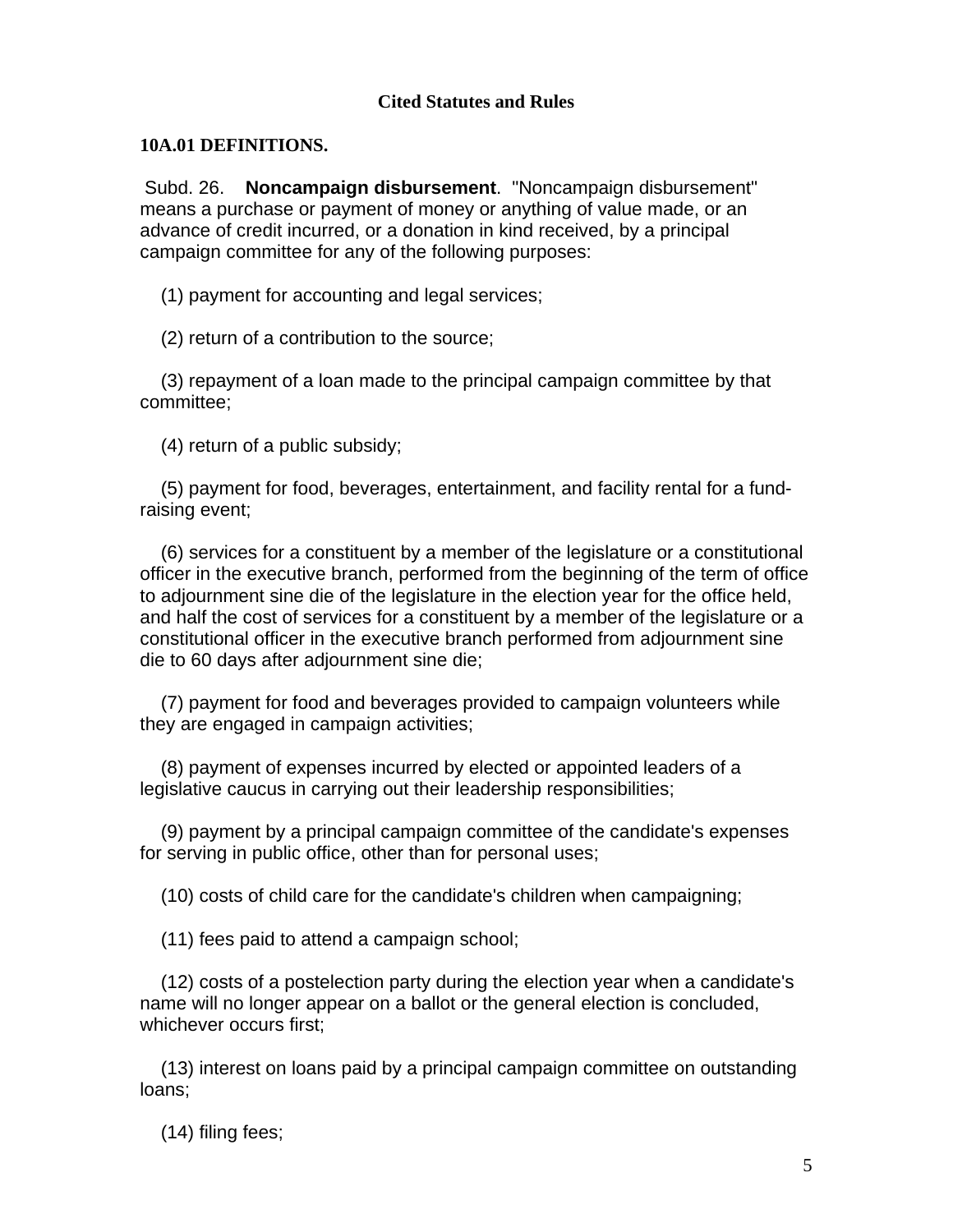# **Cited Statutes and Rules**

## **10A.01 DEFINITIONS.**

Subd. 26. **Noncampaign disbursement**. "Noncampaign disbursement" means a purchase or payment of money or anything of value made, or an advance of credit incurred, or a donation in kind received, by a principal campaign committee for any of the following purposes:

(1) payment for accounting and legal services;

(2) return of a contribution to the source;

 (3) repayment of a loan made to the principal campaign committee by that committee;

(4) return of a public subsidy;

 (5) payment for food, beverages, entertainment, and facility rental for a fundraising event;

 (6) services for a constituent by a member of the legislature or a constitutional officer in the executive branch, performed from the beginning of the term of office to adjournment sine die of the legislature in the election year for the office held, and half the cost of services for a constituent by a member of the legislature or a constitutional officer in the executive branch performed from adjournment sine die to 60 days after adjournment sine die;

 (7) payment for food and beverages provided to campaign volunteers while they are engaged in campaign activities;

 (8) payment of expenses incurred by elected or appointed leaders of a legislative caucus in carrying out their leadership responsibilities;

 (9) payment by a principal campaign committee of the candidate's expenses for serving in public office, other than for personal uses;

(10) costs of child care for the candidate's children when campaigning;

(11) fees paid to attend a campaign school;

 (12) costs of a postelection party during the election year when a candidate's name will no longer appear on a ballot or the general election is concluded, whichever occurs first;

 (13) interest on loans paid by a principal campaign committee on outstanding loans;

(14) filing fees;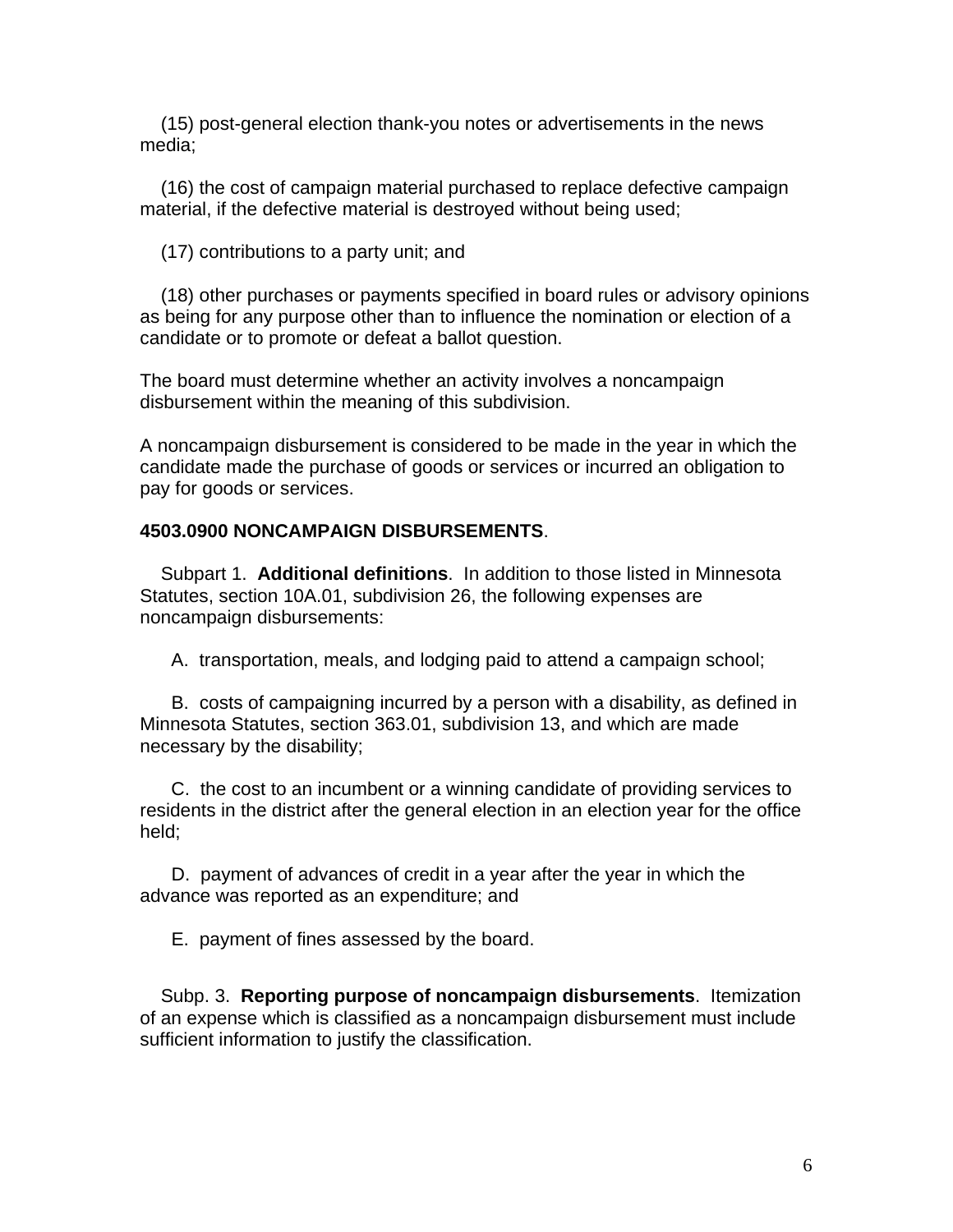(15) post-general election thank-you notes or advertisements in the news media;

 (16) the cost of campaign material purchased to replace defective campaign material, if the defective material is destroyed without being used;

(17) contributions to a party unit; and

 (18) other purchases or payments specified in board rules or advisory opinions as being for any purpose other than to influence the nomination or election of a candidate or to promote or defeat a ballot question.

The board must determine whether an activity involves a noncampaign disbursement within the meaning of this subdivision.

A noncampaign disbursement is considered to be made in the year in which the candidate made the purchase of goods or services or incurred an obligation to pay for goods or services.

# **4503.0900 NONCAMPAIGN DISBURSEMENTS**.

 Subpart 1. **Additional definitions**. In addition to those listed in Minnesota Statutes, section 10A.01, subdivision 26, the following expenses are noncampaign disbursements:

A. transportation, meals, and lodging paid to attend a campaign school;

 B. costs of campaigning incurred by a person with a disability, as defined in Minnesota Statutes, section 363.01, subdivision 13, and which are made necessary by the disability;

 C. the cost to an incumbent or a winning candidate of providing services to residents in the district after the general election in an election year for the office held;

 D. payment of advances of credit in a year after the year in which the advance was reported as an expenditure; and

E. payment of fines assessed by the board.

 Subp. 3. **Reporting purpose of noncampaign disbursements**. Itemization of an expense which is classified as a noncampaign disbursement must include sufficient information to justify the classification.